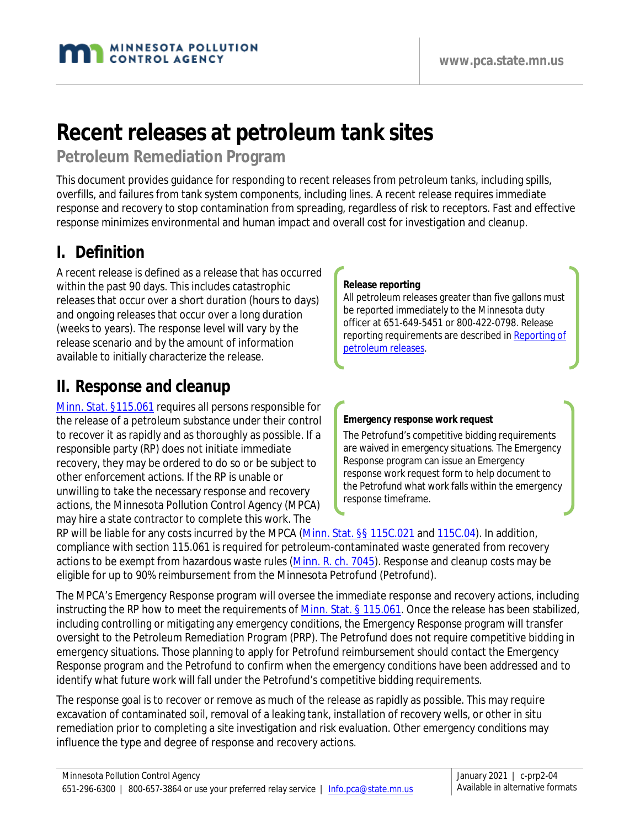# **Recent releases at petroleum tank sites**

### **Petroleum Remediation Program**

This document provides guidance for responding to recent releases from petroleum tanks, including spills, overfills, and failures from tank system components, including lines. A recent release requires immediate response and recovery to stop contamination from spreading, regardless of risk to receptors. Fast and effective response minimizes environmental and human impact and overall cost for investigation and cleanup.

### **I. Definition**

A recent release is defined as a release that has occurred within the past 90 days. This includes catastrophic releases that occur over a short duration (hours to days) and ongoing releases that occur over a long duration (weeks to years). The response level will vary by the release scenario and by the amount of information available to initially characterize the release.

### **II. Response and cleanup**

[Minn. Stat. §115.061](https://www.revisor.mn.gov/statutes/?id=115.061) requires all persons responsible for the release of a petroleum substance under their control to recover it as rapidly and as thoroughly as possible. If a responsible party (RP) does not initiate immediate recovery, they may be ordered to do so or be subject to other enforcement actions. If the RP is unable or unwilling to take the necessary response and recovery actions, the Minnesota Pollution Control Agency (MPCA) may hire a state contractor to complete this work. The

#### **Release reporting**

All petroleum releases greater than five gallons must be reported immediately to the Minnesota duty officer at 651-649-5451 or 800-422-0798. Release reporting requirements are described in [Reporting of](https://www.pca.state.mn.us/sites/default/files/c-prp2-01.pdf)  [petroleum releases.](https://www.pca.state.mn.us/sites/default/files/c-prp2-01.pdf)

#### **Emergency response work request**

The Petrofund's competitive bidding requirements are waived in emergency situations. The Emergency Response program can issue an Emergency response work request form to help document to the Petrofund what work falls within the emergency response timeframe.

RP will be liable for any costs incurred by the MPCA [\(Minn. Stat. §§ 115C.021](https://www.revisor.mn.gov/statutes/?id=115C.021) and [115C.04\)](https://www.revisor.mn.gov/statutes/?id=115C.04). In addition, compliance with section 115.061 is required for petroleum-contaminated waste generated from recovery actions to be exempt from hazardous waste rules [\(Minn. R. ch. 7045\)](https://www.revisor.mn.gov/rules/?id=7045). Response and cleanup costs may be eligible for up to 90% reimbursement from the Minnesota Petrofund (Petrofund).

The MPCA's Emergency Response program will oversee the immediate response and recovery actions, including instructing the RP how to meet the requirements of [Minn. Stat. § 115.061.](https://www.revisor.mn.gov/statutes/?id=115.061) Once the release has been stabilized, including controlling or mitigating any emergency conditions, the Emergency Response program will transfer oversight to the Petroleum Remediation Program (PRP). The Petrofund does not require competitive bidding in emergency situations. Those planning to apply for Petrofund reimbursement should contact the Emergency Response program and the Petrofund to confirm when the emergency conditions have been addressed and to identify what future work will fall under the Petrofund's competitive bidding requirements.

The response goal is to recover or remove as much of the release as rapidly as possible. This may require excavation of contaminated soil, removal of a leaking tank, installation of recovery wells, or other in situ remediation prior to completing a site investigation and risk evaluation. Other emergency conditions may influence the type and degree of response and recovery actions.